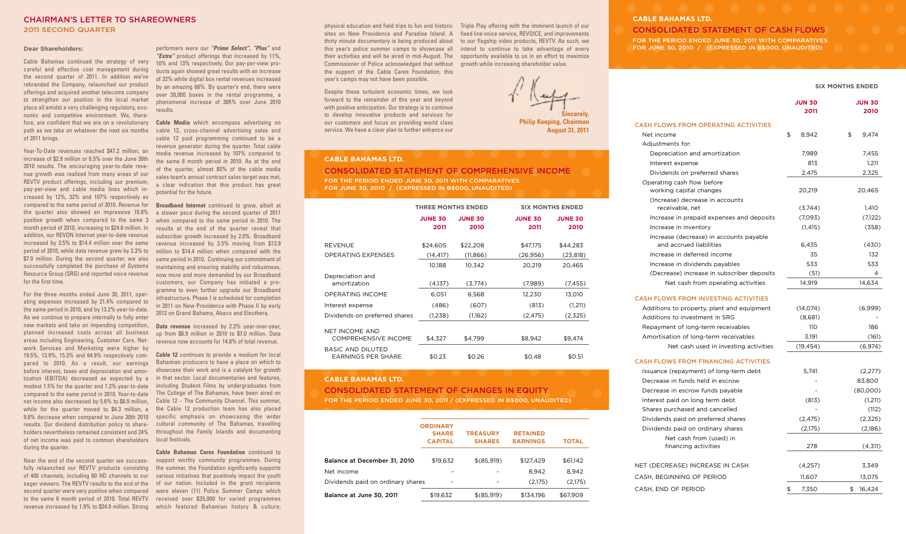### **CHAIRMAN'S LETTER TO SHAREOWNERS 2011 SECOND QUARTER**

#### **Dear Shareholders:**

Cable Bahamas continued the strategy of very careful and effective cost management during the second quarter of 2011. In addition we've rebranded the Company, relaunched our product offerings and acquired another telecoms company to strengthen our position in the local market place all amidst a very challenging regulatory, economic and competitive environment. We, therefore, are confident that we are on a revolutionary path as we take on whatever the next six months of 2011 brings.

Year-To-Date revenues reached \$47.2 million, an increase of \$2.9 million or 6.5% over the June 30th 2010 results. The encouraging year-to-date revenue growth was realized from many areas of our REVTV product offerings, including our premium, pay-per-view and cable media lines which increased by 12%, 32% and 107% respectively as compared to the same period of 2010. Revenue for the quarter also showed an impressive 10.8% positive growth when compared to the same 3 month period of 2010, increasing to \$24.6 million. In addition, our REVON Internet year-to-date revenue increased by 3.5% to \$14.4 million over the same period of 2010, while data revenue grew by 2.3% to \$7.0 million. During the second quarter, we also successfully completed the purchase of Systems Resource Group (SRG) and reported voice revenue for the first time.

For the three months ended June 30, 2011, operating expenses increased by 21.4% compared to the same period in 2010, and by 13.2% year-to-date. As we continue to prepare internally to fully enter new markets and take on impending competition, planned increased costs across all business areas including Engineering, Customer Care, Network Services and Marketing were higher by 19.5%, 13.9%, 15.3% and 64.9% respectively compared to 2010. As a result, our earnings before interest, taxes and depreciation and amortization (EBITDA) decreased as expected by a modest 1.5% for the quarter and 1.2% year-to-date compared to the same period in 2010. Year-to-date net income also decreased by 5.6% to \$8.9 million, while for the quarter moved to \$4.3 million, a 9.8% decrease when compared to June 30th 2010 results. Our dividend distribution policy to share-cultural community of The Bahamas, travelling holders nevertheless remained consistent and 24% of net income was paid to common shareholders during the quarter.

fully relaunched our REVTV products consisting the summer, the Foundation significantly supports of 400 channels, including 60 HD channels to our various initiatives that positively impact the youth eager viewers. The REVTV results to the end of the of our nation. Included in the grant recipients second quarter were very positive when compared were eleven (11) Police Summer Camps which to the same 6 month period of 2010. Total REVTV received over \$35,000 for varied programmes

performers were our *"Prime Select", "Plus"* and *"Extra"* product offerings that increased by 11%, 10% and 13% respectively. Our pay-per-view products again showed great results with an increase of 32% while digital box rental revenues increased by an amazing 68%. By quarter's end, there were over 38,000 boxes in the rental programme, a phenomenal increase of 305% over June 2010 results.

**Cable Media** which encompass advertising on cable 12, cross-channel advertising sales and cable 12 paid programming continued to be a revenue generator during the quarter. Total cable media revenue increased by 107% compared to the same 6 month period in 2010. As at the end of the quarter, almost 80% of the cable media sales team's annual contract sales target was met, a clear indication that this product has great potential for the future.

**Broadband Internet** continued to grow, albeit at a slower pace during the second quarter of 2011 when compared to the same period in 2010. The results at the end of the quarter reveal that subscriber growth increased by 2.0%. Broadband revenue increased by 3.5% moving from \$13.9 million to \$14.4 million when compared with the same period in 2010. Continuing our commitment of maintaining and ensuring stability and robustness, now more and more demanded by our Broadband customers, our Company has initiated a programme to even further upgrade our Broadband infrastructure. Phase I is scheduled for completion in 2011 on New Providence with Phase II by early 2012 on Grand Bahama, Abaco and Eleuthera.

**Data revenue** increased by 2.3% year-over-year, up from \$6.9 million in 2010 to \$7.0 million. Data revenue now accounts for 14.8% of total revenue.

**Cable 12** continues to provide a medium for local Bahamian producers to have a place on which to showcase their work and is a catalyst for growth in that sector. Local documentaries and features, including Student Films by undergraduates from The College of The Bahamas, have been aired on Cable 12 – The Community Channel. This summer, the Cable 12 production team has also placed specific emphasis on showcasing the wider throughout the Family Islands and documenting local festivals.

Near the end of the second quarter we success-support worthy community programmes. During revenue increased by 1.9% to \$24.0 million. Strong which featured Bahamian history & culture; **Cable Bahamas Cares Foundation** continued to

physical education and field trips to fun and historic Triple Play offering with the imminent launch of our sites on New Providence and Paradise Island. A fixed line voice service, REVOICE, and improvements thirty minute documentary is being produced about to our flagship video products, REVTV. As such, we this year's police summer camps to showcase all intend to continue to take advantage of every their activities and will be aired in mid-August. The opportunity available to us in an effort to maximize Commissioner of Police acknowledged that without growth while increasing shareholder value. the support of the Cable Cares Foundation, this year's camps may not have been possible.

Despite these turbulent economic times, we look forward to the remainder of this year and beyond with positive anticipation. Our strategy is to continue to develop innovative products and services for our customers and focus on providing world class service. We have a clear plan to further enhance our

**CABLE BAHAMAS LTD.**

 $\wedge$   $\vee$ 

## **CABLE BAHAMAS LTD.**

**CONSOLIDATED STATEMENT OF CASH FLOWS FOR THE PERIOD ENDED JUNE 30, 2011 WITH COMPARATIVES FOR JUNE 30, 2010 / (EXPRESSED IN B\$000, UNAUDITED)**

#### **SIX MONTHS ENDED**

|                                             | JUN 30      | <b>JUN 30</b> |
|---------------------------------------------|-------------|---------------|
|                                             | 2011        | 2010          |
| <b>CASH FLOWS FROM OPERATING ACTIVITIES</b> |             |               |
| Net income                                  | \$<br>8,942 | \$<br>9,474   |
| Adjustments for:                            |             |               |
| Depreciation and amortization               | 7,989       | 7,455         |
| Interest expense                            | 813         | 1,211         |
| Dividends on preferred shares               | 2,475       | 2,325         |
| Operating cash flow before                  |             |               |
| working capital changes                     | 20,219      | 20,465        |
| (Increase) decrease in accounts             |             |               |
| receivable, net                             | (3,744)     | 1,410         |
| Increase in prepaid expenses and deposits   | (7,093)     | (7,122)       |
| Increase in inventory                       | (1, 415)    | (358)         |
| Increase (decrease) in accounts payable     |             |               |
| and accrued liabilities                     | 6,435       | (430)         |
| Increase in deferred income                 | 35          | 132           |
| Increase in dividends payables              | 533         | 533           |
| (Decrease) increase in subscriber deposits  | (51)        | 4             |
| Net cash from operating activities          | 14,919      | 14,634        |
| <b>CASH FLOWS FROM INVESTING ACTIVITIES</b> |             |               |
| Additions to property, plant and equipment  | (14, 074)   | (6,999)       |
| Additions to investment in SRG              | (8,681)     |               |
| Repayment of long-term receivables          | 110         | 186           |
| Amortisation of long-term receivables       | 3,191       | (161)         |
| Net cash used in investing activities       | (19, 454)   | (6,974)       |
| <b>CASH FLOWS FROM FINANCING ACTIVITIES</b> |             |               |
| Issuance (repayment) of long-term debt      | 5,741       | (2,277)       |
| Decrease in funds held in escrow            |             | 83,800        |
| Decrease in escrow funds payable            |             | (80,000)      |

Interest paid on long term debt (813) (1,211) Shares purchased and cancelled  $\overline{ }$  (112) Dividends paid on preferred shares (2,475) (2,325) Dividends paid on ordinary shares (2,175) (2,186)

NET (DECREASE) INCREASE IN CASH (4,257) 3,349 CASH, BEGINNING OF PERIOD 11,607 13,075 CASH, END OF PERIOD \$7,350 \$16,424

financing activities 278 (4,311)

Net cash from (used) in

| <b>Sincerely,</b> |
|-------------------|

**Philip Keeping, Chairman August 31, 2011**

|                                               | <b>THREE MONTHS ENDED</b> |                |                | <b>SIX MONTHS ENDED</b> |  |
|-----------------------------------------------|---------------------------|----------------|----------------|-------------------------|--|
|                                               | <b>JUNE 30</b>            | <b>JUNE 30</b> | <b>JUNE 30</b> | <b>JUNE 30</b>          |  |
|                                               | 2011                      | 2010           | 2011           | 2010                    |  |
| REVENUE                                       | \$24,605                  | \$22,208       | \$47,175       | \$44,283                |  |
| OPERATING EXPENSES                            | (14, 417)                 | (11, 866)      | (26,956)       | (23, 818)               |  |
|                                               | 10,188                    | 10,342         | 20,219         | 20,465                  |  |
| Depreciation and<br>amortization              | (4,137)                   | (3,774)        | (7,989)        | (7, 455)                |  |
| OPERATING INCOME                              | 6,051                     | 6,568          | 12,230         | 13,010                  |  |
| Interest expense                              | (486)                     | (607)          | (813)          | (1,211)                 |  |
| Dividends on preferred shares                 | (1,238)                   | (1,162)        | (2, 475)       | (2,325)                 |  |
| NET INCOME AND<br><b>COMPREHENSIVE INCOME</b> | \$4,327                   | \$4,799        | \$8,942        | \$9,474                 |  |
| BASIC AND DILUTED<br>FARNINGS PFR SHARF       | \$0.23                    | \$0.26         | \$0.48         | \$0.51                  |  |

**CONSOLIDATED STATEMENT OF COMPREHENSIVE INCOME**

**FOR THE PERIOD ENDED JUNE 30, 2011 WITH COMPARATIVES FOR JUNE 30, 2010 / (EXPRESSED IN B\$000, UNAUDITED)**

#### **CABLE BAHAMAS LTD.**

### **CONSOLIDATED STATEMENT OF CHANGES IN EQUITY FOR THE PERIOD ENDED JUNE 30, 2011 / (EXPRESSED IN B\$000, UNAUDITED)**

|                                   | <b>ORDINARY</b><br><b>SHARE</b><br><b>CAPITAL</b> | <b>TREASURY</b><br><b>SHARES</b> | <b>RETAINED</b><br><b>EARNINGS</b> | <b>TOTAL</b> |
|-----------------------------------|---------------------------------------------------|----------------------------------|------------------------------------|--------------|
| Balance at December 31, 2010      | \$19.632                                          | \$(85,919)                       | \$127,429                          | \$61,142     |
| Net income                        |                                                   |                                  | 8.942                              | 8.942        |
| Dividends paid on ordinary shares |                                                   |                                  | (2,175)                            | (2,175)      |
| <b>Balance at June 30, 2011</b>   | \$19.632                                          | \$(85,919)                       | \$134,196                          | \$67.909     |